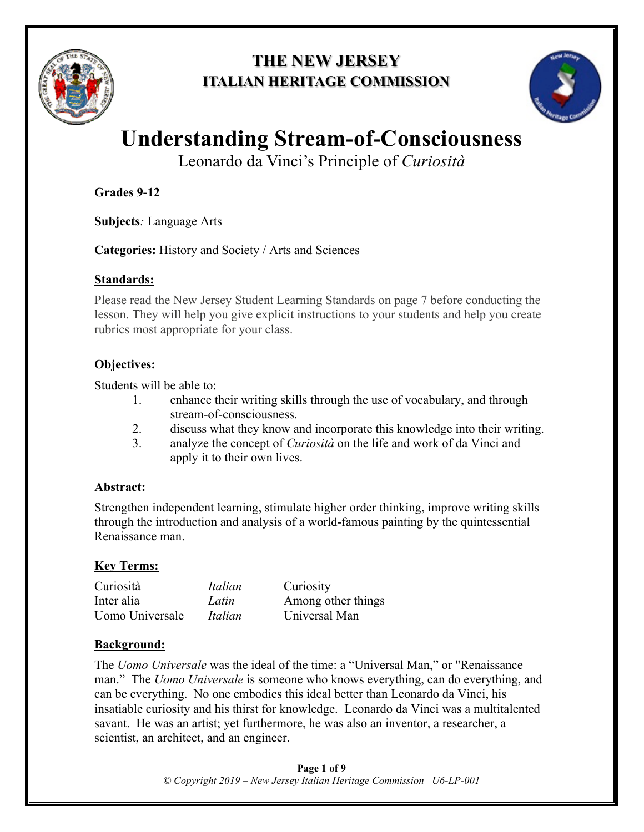

## **THE NEW JERSEY ITALIAN HERITAGE COMMISSION**



# **Understanding Stream-of-Consciousness**

Leonardo da Vinci's Principle of *Curiosità*

**Grades 9-12**

**Subjects***:* Language Arts

**Categories:** History and Society / Arts and Sciences

#### **Standards:**

Please read the New Jersey Student Learning Standards on page 7 before conducting the lesson. They will help you give explicit instructions to your students and help you create rubrics most appropriate for your class.

#### **Objectives:**

Students will be able to:

- 1. enhance their writing skills through the use of vocabulary, and through stream-of-consciousness.
- 2. discuss what they know and incorporate this knowledge into their writing.
- 3. analyze the concept of *Curiosità* on the life and work of da Vinci and apply it to their own lives.

#### **Abstract:**

Strengthen independent learning, stimulate higher order thinking, improve writing skills through the introduction and analysis of a world-famous painting by the quintessential Renaissance man.

#### **Key Terms:**

| Curiosità       | Italian | Curiosity          |
|-----------------|---------|--------------------|
| Inter alia      | Latin   | Among other things |
| Uomo Universale | Italian | Universal Man      |

#### **Background:**

The *Uomo Universale* was the ideal of the time: a "Universal Man," or "Renaissance man." The *Uomo Universale* is someone who knows everything, can do everything, and can be everything. No one embodies this ideal better than Leonardo da Vinci, his insatiable curiosity and his thirst for knowledge. Leonardo da Vinci was a multitalented savant. He was an artist; yet furthermore, he was also an inventor, a researcher, a scientist, an architect, and an engineer.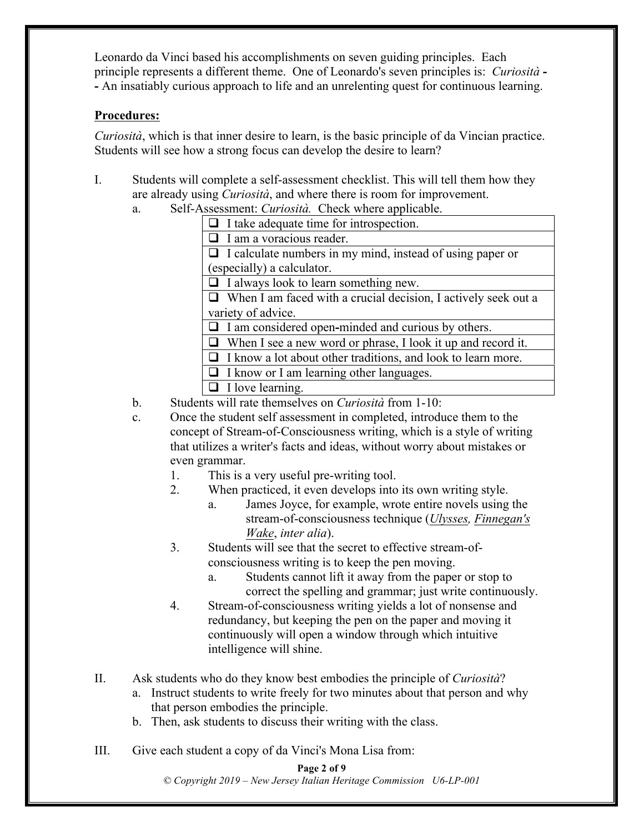Leonardo da Vinci based his accomplishments on seven guiding principles. Each principle represents a different theme. One of Leonardo's seven principles is: *Curiosità* **- -** An insatiably curious approach to life and an unrelenting quest for continuous learning.

#### **Procedures:**

*Curiosità*, which is that inner desire to learn, is the basic principle of da Vincian practice. Students will see how a strong focus can develop the desire to learn?

- I. Students will complete a self-assessment checklist. This will tell them how they are already using *Curiosità*, and where there is room for improvement.
	- a. Self-Assessment: *Curiosità.* Check where applicable.
		- $\Box$  I take adequate time for introspection.  $\Box$  I am a voracious reader.

 $\Box$  I calculate numbers in my mind, instead of using paper or (especially) a calculator.

 $\Box$  I always look to learn something new.

 $\Box$  When I am faced with a crucial decision, I actively seek out a variety of advice.

□ I am considered open-minded and curious by others.

- $\Box$  When I see a new word or phrase, I look it up and record it.
- $\Box$  I know a lot about other traditions, and look to learn more.
- $\Box$  I know or I am learning other languages.
- $\Box$  I love learning.
- b. Students will rate themselves on *Curiosità* from 1-10:
- c. Once the student self assessment in completed, introduce them to the concept of Stream-of-Consciousness writing, which is a style of writing that utilizes a writer's facts and ideas, without worry about mistakes or even grammar.
	- 1. This is a very useful pre-writing tool.
	- 2. When practiced, it even develops into its own writing style.
		- a. James Joyce, for example, wrote entire novels using the stream-of-consciousness technique (*Ulysses, Finnegan's Wake*, *inter alia*).
	- 3. Students will see that the secret to effective stream-ofconsciousness writing is to keep the pen moving.
		- a. Students cannot lift it away from the paper or stop to correct the spelling and grammar; just write continuously.
	- 4. Stream-of-consciousness writing yields a lot of nonsense and redundancy, but keeping the pen on the paper and moving it continuously will open a window through which intuitive intelligence will shine.
- II. Ask students who do they know best embodies the principle of *Curiosità*?
	- a. Instruct students to write freely for two minutes about that person and why that person embodies the principle.
	- b. Then, ask students to discuss their writing with the class.
- III. Give each student a copy of da Vinci's Mona Lisa from:

#### **Page 2 of 9**

*© Copyright 2019 – New Jersey Italian Heritage Commission U6-LP-001*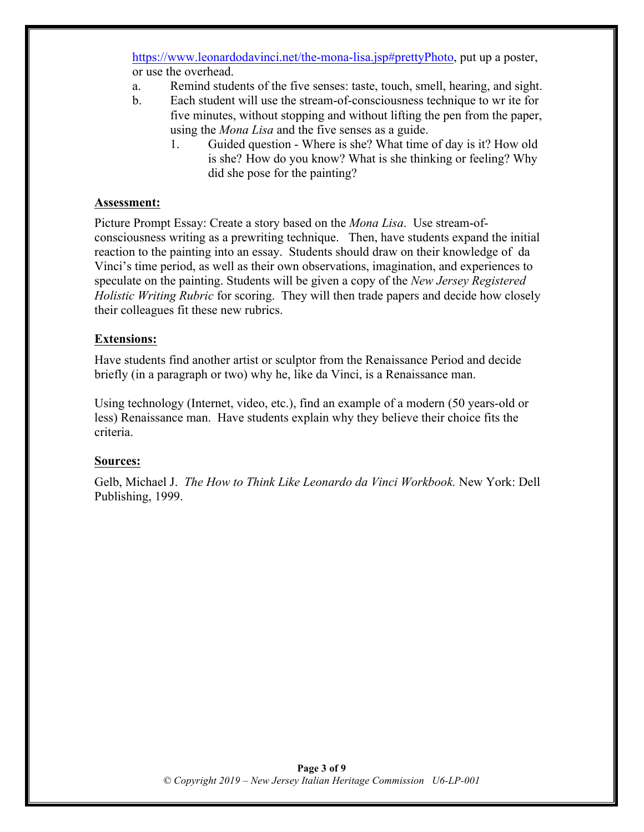https://www.leonardodavinci.net/the-mona-lisa.jsp#prettyPhoto, put up a poster, or use the overhead.

- a. Remind students of the five senses: taste, touch, smell, hearing, and sight.
- b. Each student will use the stream-of-consciousness technique to wr ite for five minutes, without stopping and without lifting the pen from the paper, using the *Mona Lisa* and the five senses as a guide.
	- 1. Guided question Where is she? What time of day is it? How old is she? How do you know? What is she thinking or feeling? Why did she pose for the painting?

#### **Assessment:**

Picture Prompt Essay: Create a story based on the *Mona Lisa*. Use stream-ofconsciousness writing as a prewriting technique. Then, have students expand the initial reaction to the painting into an essay. Students should draw on their knowledge of da Vinci's time period, as well as their own observations, imagination, and experiences to speculate on the painting. Students will be given a copy of the *New Jersey Registered Holistic Writing Rubric* for scoring. They will then trade papers and decide how closely their colleagues fit these new rubrics.

#### **Extensions:**

Have students find another artist or sculptor from the Renaissance Period and decide briefly (in a paragraph or two) why he, like da Vinci, is a Renaissance man.

Using technology (Internet, video, etc.), find an example of a modern (50 years-old or less) Renaissance man. Have students explain why they believe their choice fits the criteria.

#### **Sources:**

Gelb, Michael J. *The How to Think Like Leonardo da Vinci Workbook.* New York: Dell Publishing, 1999.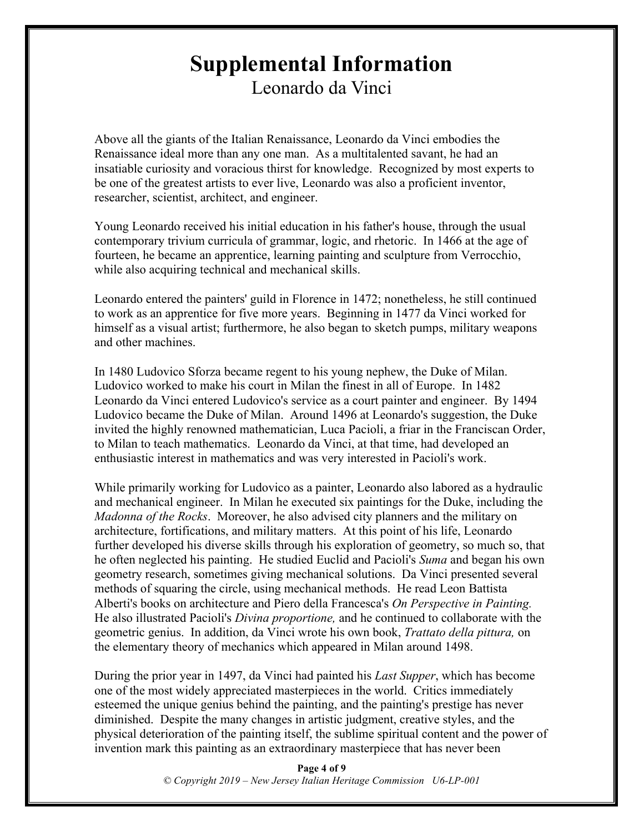## **Supplemental Information** Leonardo da Vinci

Above all the giants of the Italian Renaissance, Leonardo da Vinci embodies the Renaissance ideal more than any one man. As a multitalented savant, he had an insatiable curiosity and voracious thirst for knowledge. Recognized by most experts to be one of the greatest artists to ever live, Leonardo was also a proficient inventor, researcher, scientist, architect, and engineer.

Young Leonardo received his initial education in his father's house, through the usual contemporary trivium curricula of grammar, logic, and rhetoric. In 1466 at the age of fourteen, he became an apprentice, learning painting and sculpture from Verrocchio, while also acquiring technical and mechanical skills.

Leonardo entered the painters' guild in Florence in 1472; nonetheless, he still continued to work as an apprentice for five more years. Beginning in 1477 da Vinci worked for himself as a visual artist; furthermore, he also began to sketch pumps, military weapons and other machines.

In 1480 Ludovico Sforza became regent to his young nephew, the Duke of Milan. Ludovico worked to make his court in Milan the finest in all of Europe. In 1482 Leonardo da Vinci entered Ludovico's service as a court painter and engineer. By 1494 Ludovico became the Duke of Milan. Around 1496 at Leonardo's suggestion, the Duke invited the highly renowned mathematician, Luca Pacioli, a friar in the Franciscan Order, to Milan to teach mathematics. Leonardo da Vinci, at that time, had developed an enthusiastic interest in mathematics and was very interested in Pacioli's work.

While primarily working for Ludovico as a painter, Leonardo also labored as a hydraulic and mechanical engineer. In Milan he executed six paintings for the Duke, including the *Madonna of the Rocks*. Moreover, he also advised city planners and the military on architecture, fortifications, and military matters. At this point of his life, Leonardo further developed his diverse skills through his exploration of geometry, so much so, that he often neglected his painting. He studied Euclid and Pacioli's *Suma* and began his own geometry research, sometimes giving mechanical solutions. Da Vinci presented several methods of squaring the circle, using mechanical methods. He read Leon Battista Alberti's books on architecture and Piero della Francesca's *On Perspective in Painting.*  He also illustrated Pacioli's *Divina proportione,* and he continued to collaborate with the geometric genius. In addition, da Vinci wrote his own book, *Trattato della pittura,* on the elementary theory of mechanics which appeared in Milan around 1498.

During the prior year in 1497, da Vinci had painted his *Last Supper*, which has become one of the most widely appreciated masterpieces in the world. Critics immediately esteemed the unique genius behind the painting, and the painting's prestige has never diminished. Despite the many changes in artistic judgment, creative styles, and the physical deterioration of the painting itself, the sublime spiritual content and the power of invention mark this painting as an extraordinary masterpiece that has never been

> **Page 4 of 9** *© Copyright 2019 – New Jersey Italian Heritage Commission U6-LP-001*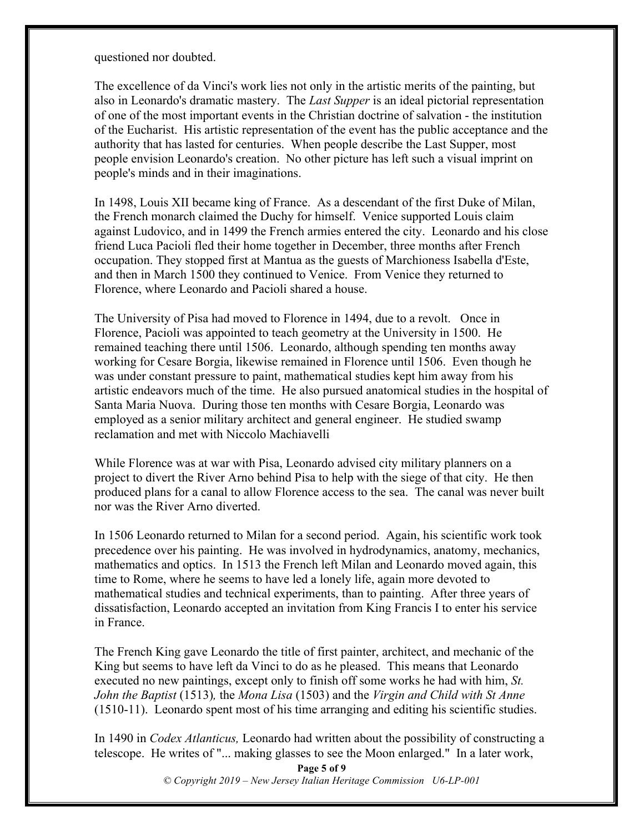questioned nor doubted.

The excellence of da Vinci's work lies not only in the artistic merits of the painting, but also in Leonardo's dramatic mastery. The *Last Supper* is an ideal pictorial representation of one of the most important events in the Christian doctrine of salvation - the institution of the Eucharist. His artistic representation of the event has the public acceptance and the authority that has lasted for centuries. When people describe the Last Supper, most people envision Leonardo's creation. No other picture has left such a visual imprint on people's minds and in their imaginations.

In 1498, Louis XII became king of France. As a descendant of the first Duke of Milan, the French monarch claimed the Duchy for himself. Venice supported Louis claim against Ludovico, and in 1499 the French armies entered the city. Leonardo and his close friend Luca Pacioli fled their home together in December, three months after French occupation. They stopped first at Mantua as the guests of Marchioness Isabella d'Este, and then in March 1500 they continued to Venice. From Venice they returned to Florence, where Leonardo and Pacioli shared a house.

The University of Pisa had moved to Florence in 1494, due to a revolt. Once in Florence, Pacioli was appointed to teach geometry at the University in 1500. He remained teaching there until 1506. Leonardo, although spending ten months away working for Cesare Borgia, likewise remained in Florence until 1506. Even though he was under constant pressure to paint, mathematical studies kept him away from his artistic endeavors much of the time. He also pursued anatomical studies in the hospital of Santa Maria Nuova. During those ten months with Cesare Borgia, Leonardo was employed as a senior military architect and general engineer. He studied swamp reclamation and met with Niccolo Machiavelli

While Florence was at war with Pisa, Leonardo advised city military planners on a project to divert the River Arno behind Pisa to help with the siege of that city. He then produced plans for a canal to allow Florence access to the sea. The canal was never built nor was the River Arno diverted.

In 1506 Leonardo returned to Milan for a second period. Again, his scientific work took precedence over his painting. He was involved in hydrodynamics, anatomy, mechanics, mathematics and optics. In 1513 the French left Milan and Leonardo moved again, this time to Rome, where he seems to have led a lonely life, again more devoted to mathematical studies and technical experiments, than to painting. After three years of dissatisfaction, Leonardo accepted an invitation from King Francis I to enter his service in France.

The French King gave Leonardo the title of first painter, architect, and mechanic of the King but seems to have left da Vinci to do as he pleased. This means that Leonardo executed no new paintings, except only to finish off some works he had with him, *St. John the Baptist* (1513)*,* the *Mona Lisa* (1503) and the *Virgin and Child with St Anne*  (1510-11). Leonardo spent most of his time arranging and editing his scientific studies.

In 1490 in *Codex Atlanticus,* Leonardo had written about the possibility of constructing a telescope. He writes of "... making glasses to see the Moon enlarged." In a later work,

> **Page 5 of 9** *© Copyright 2019 – New Jersey Italian Heritage Commission U6-LP-001*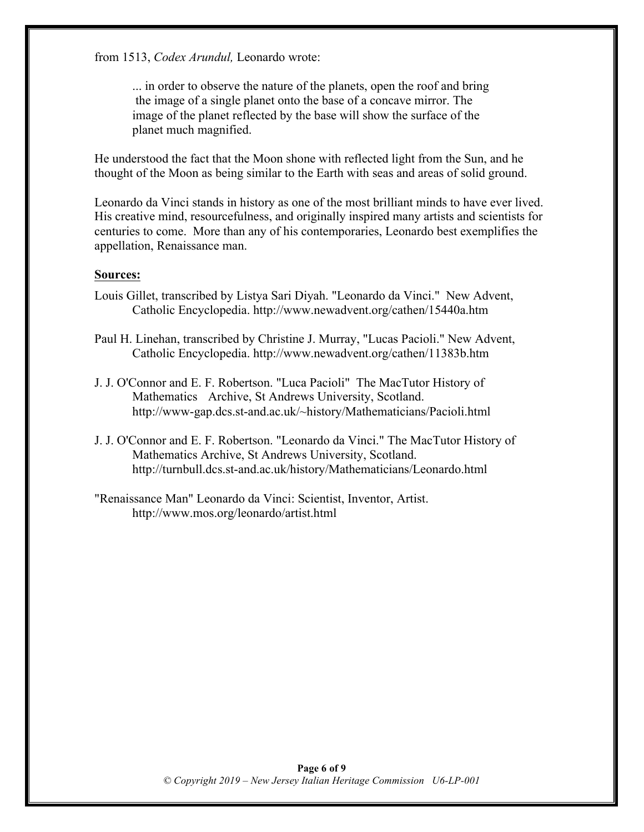from 1513, *Codex Arundul,* Leonardo wrote:

... in order to observe the nature of the planets, open the roof and bring the image of a single planet onto the base of a concave mirror. The image of the planet reflected by the base will show the surface of the planet much magnified.

He understood the fact that the Moon shone with reflected light from the Sun, and he thought of the Moon as being similar to the Earth with seas and areas of solid ground.

Leonardo da Vinci stands in history as one of the most brilliant minds to have ever lived. His creative mind, resourcefulness, and originally inspired many artists and scientists for centuries to come. More than any of his contemporaries, Leonardo best exemplifies the appellation, Renaissance man.

#### **Sources:**

- Louis Gillet, transcribed by Listya Sari Diyah. "Leonardo da Vinci." New Advent, Catholic Encyclopedia. http://www.newadvent.org/cathen/15440a.htm
- Paul H. Linehan, transcribed by Christine J. Murray, "Lucas Pacioli." New Advent, Catholic Encyclopedia. http://www.newadvent.org/cathen/11383b.htm
- J. J. O'Connor and E. F. Robertson. "Luca Pacioli" The MacTutor History of Mathematics Archive, St Andrews University, Scotland. http://www-gap.dcs.st-and.ac.uk/~history/Mathematicians/Pacioli.html
- J. J. O'Connor and E. F. Robertson. "Leonardo da Vinci." The MacTutor History of Mathematics Archive, St Andrews University, Scotland. http://turnbull.dcs.st-and.ac.uk/history/Mathematicians/Leonardo.html
- "Renaissance Man" Leonardo da Vinci: Scientist, Inventor, Artist. http://www.mos.org/leonardo/artist.html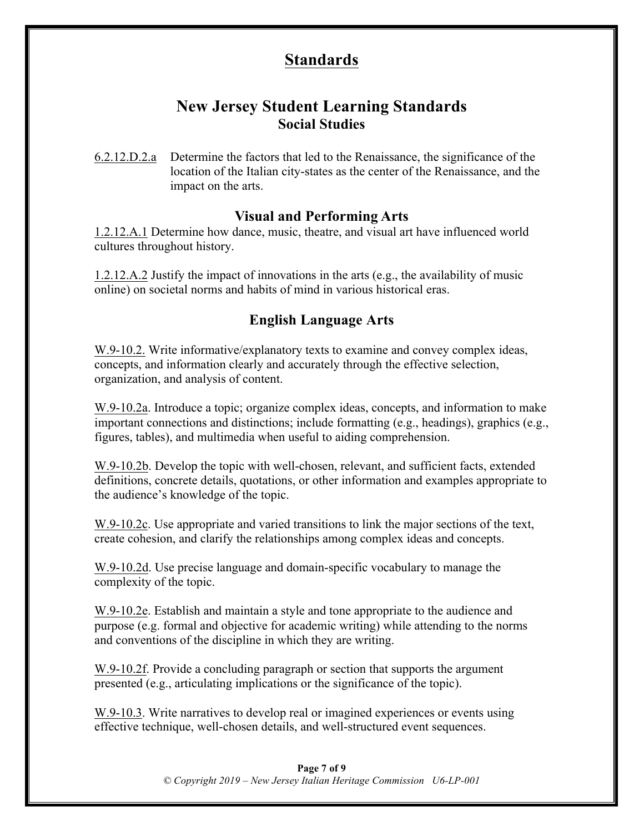## **Standards**

## **New Jersey Student Learning Standards Social Studies**

6.2.12.D.2.a Determine the factors that led to the Renaissance, the significance of the location of the Italian city-states as the center of the Renaissance, and the impact on the arts.

### **Visual and Performing Arts**

1.2.12.A.1 Determine how dance, music, theatre, and visual art have influenced world cultures throughout history.

1.2.12.A.2 Justify the impact of innovations in the arts (e.g., the availability of music online) on societal norms and habits of mind in various historical eras.

## **English Language Arts**

W.9-10.2. Write informative/explanatory texts to examine and convey complex ideas, concepts, and information clearly and accurately through the effective selection, organization, and analysis of content.

W.9-10.2a. Introduce a topic; organize complex ideas, concepts, and information to make important connections and distinctions; include formatting (e.g., headings), graphics (e.g., figures, tables), and multimedia when useful to aiding comprehension.

W.9-10.2b. Develop the topic with well-chosen, relevant, and sufficient facts, extended definitions, concrete details, quotations, or other information and examples appropriate to the audience's knowledge of the topic.

W.9-10.2c. Use appropriate and varied transitions to link the major sections of the text, create cohesion, and clarify the relationships among complex ideas and concepts.

W.9-10.2d. Use precise language and domain-specific vocabulary to manage the complexity of the topic.

W.9-10.2e. Establish and maintain a style and tone appropriate to the audience and purpose (e.g. formal and objective for academic writing) while attending to the norms and conventions of the discipline in which they are writing.

W.9-10.2f. Provide a concluding paragraph or section that supports the argument presented (e.g., articulating implications or the significance of the topic).

W.9-10.3. Write narratives to develop real or imagined experiences or events using effective technique, well-chosen details, and well-structured event sequences.

> **Page 7 of 9** *© Copyright 2019 – New Jersey Italian Heritage Commission U6-LP-001*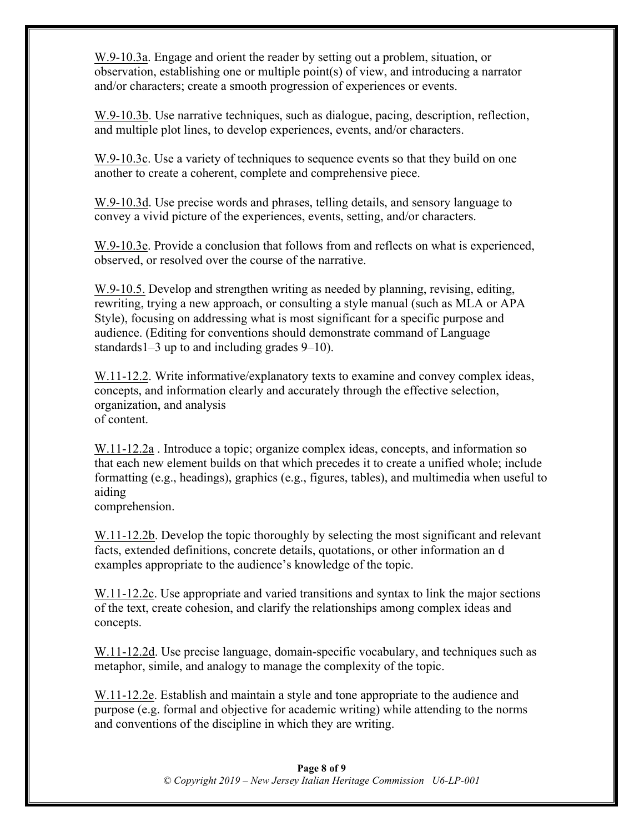W.9-10.3a. Engage and orient the reader by setting out a problem, situation, or observation, establishing one or multiple point(s) of view, and introducing a narrator and/or characters; create a smooth progression of experiences or events.

W.9-10.3b. Use narrative techniques, such as dialogue, pacing, description, reflection, and multiple plot lines, to develop experiences, events, and/or characters.

W.9-10.3c. Use a variety of techniques to sequence events so that they build on one another to create a coherent, complete and comprehensive piece.

W.9-10.3d. Use precise words and phrases, telling details, and sensory language to convey a vivid picture of the experiences, events, setting, and/or characters.

W.9-10.3e. Provide a conclusion that follows from and reflects on what is experienced, observed, or resolved over the course of the narrative.

W.9-10.5. Develop and strengthen writing as needed by planning, revising, editing, rewriting, trying a new approach, or consulting a style manual (such as MLA or APA Style), focusing on addressing what is most significant for a specific purpose and audience. (Editing for conventions should demonstrate command of Language standards1–3 up to and including grades 9–10).

W.11-12.2. Write informative/explanatory texts to examine and convey complex ideas, concepts, and information clearly and accurately through the effective selection, organization, and analysis of content.

W.11-12.2a . Introduce a topic; organize complex ideas, concepts, and information so that each new element builds on that which precedes it to create a unified whole; include formatting (e.g., headings), graphics (e.g., figures, tables), and multimedia when useful to aiding

comprehension.

W.11-12.2b. Develop the topic thoroughly by selecting the most significant and relevant facts, extended definitions, concrete details, quotations, or other information an d examples appropriate to the audience's knowledge of the topic.

W.11-12.2c. Use appropriate and varied transitions and syntax to link the major sections of the text, create cohesion, and clarify the relationships among complex ideas and concepts.

W.11-12.2d. Use precise language, domain-specific vocabulary, and techniques such as metaphor, simile, and analogy to manage the complexity of the topic.

W.11-12.2e. Establish and maintain a style and tone appropriate to the audience and purpose (e.g. formal and objective for academic writing) while attending to the norms and conventions of the discipline in which they are writing.